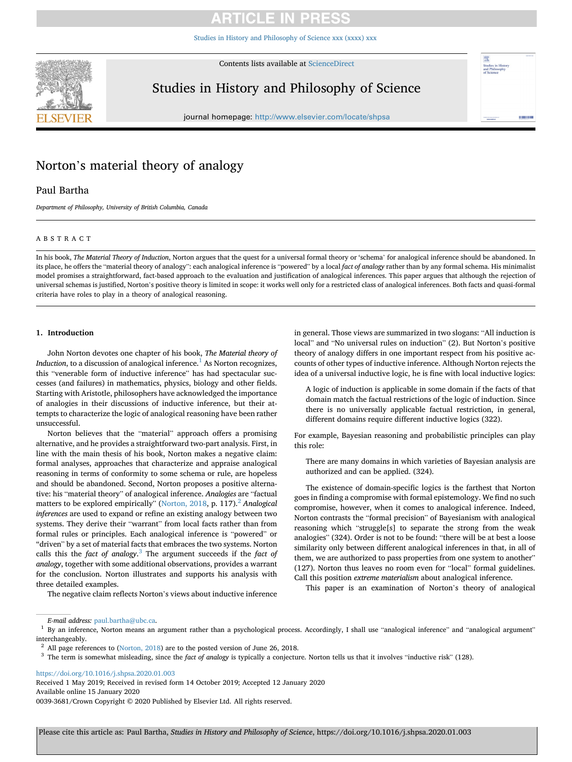[Studies in History and Philosophy of Science xxx \(xxxx\) xxx](https://doi.org/10.1016/j.shpsa.2020.01.003)

Contents lists available at [ScienceDirect](www.sciencedirect.com/science/journal/00393681)



## Studies in History and Philosophy of Science



journal homepage: [http://www.elsevier.com/locate/shpsa](https://http://www.elsevier.com/locate/shpsa)

## Norton's material theory of analogy

### Paul Bartha

*Department of Philosophy, University of British Columbia, Canada* 

### ABSTRACT

In his book, *The Material Theory of Induction*, Norton argues that the quest for a universal formal theory or 'schema' for analogical inference should be abandoned. In its place, he offers the "material theory of analogy": each analogical inference is "powered" by a local *fact of analogy* rather than by any formal schema. His minimalist model promises a straightforward, fact-based approach to the evaluation and justification of analogical inferences. This paper argues that although the rejection of universal schemas is justified, Norton's positive theory is limited in scope: it works well only for a restricted class of analogical inferences. Both facts and quasi-formal criteria have roles to play in a theory of analogical reasoning.

### **1. Introduction**

John Norton devotes one chapter of his book, *The Material theory of Induction*, to a discussion of analogical inference.<sup>1</sup> As Norton recognizes, this "venerable form of inductive inference" has had spectacular successes (and failures) in mathematics, physics, biology and other fields. Starting with Aristotle, philosophers have acknowledged the importance of analogies in their discussions of inductive inference, but their attempts to characterize the logic of analogical reasoning have been rather unsuccessful.

Norton believes that the "material" approach offers a promising alternative, and he provides a straightforward two-part analysis. First, in line with the main thesis of his book, Norton makes a negative claim: formal analyses, approaches that characterize and appraise analogical reasoning in terms of conformity to some schema or rule, are hopeless and should be abandoned. Second, Norton proposes a positive alternative: his "material theory" of analogical inference. *Analogies* are "factual matters to be explored empirically" [\(Norton, 2018](#page-9-0), p. 117).<sup>2</sup> Analogical *inferences* are used to expand or refine an existing analogy between two systems. They derive their "warrant" from local facts rather than from formal rules or principles. Each analogical inference is "powered" or "driven" by a set of material facts that embraces the two systems. Norton calls this the *fact of analogy*. 3 The argument succeeds if the *fact of analogy*, together with some additional observations, provides a warrant for the conclusion. Norton illustrates and supports his analysis with three detailed examples.

in general. Those views are summarized in two slogans: "All induction is local" and "No universal rules on induction" (2). But Norton's positive theory of analogy differs in one important respect from his positive accounts of other types of inductive inference. Although Norton rejects the idea of a universal inductive logic, he is fine with local inductive logics:

A logic of induction is applicable in some domain if the facts of that domain match the factual restrictions of the logic of induction. Since there is no universally applicable factual restriction, in general, different domains require different inductive logics (322).

For example, Bayesian reasoning and probabilistic principles can play this role:

There are many domains in which varieties of Bayesian analysis are authorized and can be applied. (324).

The existence of domain-specific logics is the farthest that Norton goes in finding a compromise with formal epistemology. We find no such compromise, however, when it comes to analogical inference. Indeed, Norton contrasts the "formal precision" of Bayesianism with analogical reasoning which "struggle[s] to separate the strong from the weak analogies" (324). Order is not to be found: "there will be at best a loose similarity only between different analogical inferences in that, in all of them, we are authorized to pass properties from one system to another" (127). Norton thus leaves no room even for "local" formal guidelines. Call this position *extreme materialism* about analogical inference.

This paper is an examination of Norton's theory of analogical

The negative claim reflects Norton's views about inductive inference

Available online 15 January 2020 0039-3681/Crown Copyright © 2020 Published by Elsevier Ltd. All rights reserved. Received 1 May 2019; Received in revised form 14 October 2019; Accepted 12 January 2020

Please cite this article as: Paul Bartha, *Studies in History and Philosophy of Science*, https://doi.org/10.1016/j.shpsa.2020.01.003

*E-mail address:* [paul.bartha@ubc.ca.](mailto:paul.bartha@ubc.ca)<br>By an inference, Norton means an argument rather than a psychological process. Accordingly, I shall use "analogical inference" and "analogical argument" interchangeably.<br><sup>2</sup> All page references to (Norton, 2018) are to the posted version of June 26, 2018.

 $3$  The term is somewhat misleading, since the fact of analogy is typically a conjecture. Norton tells us that it involves "inductive risk" (128).

<https://doi.org/10.1016/j.shpsa.2020.01.003>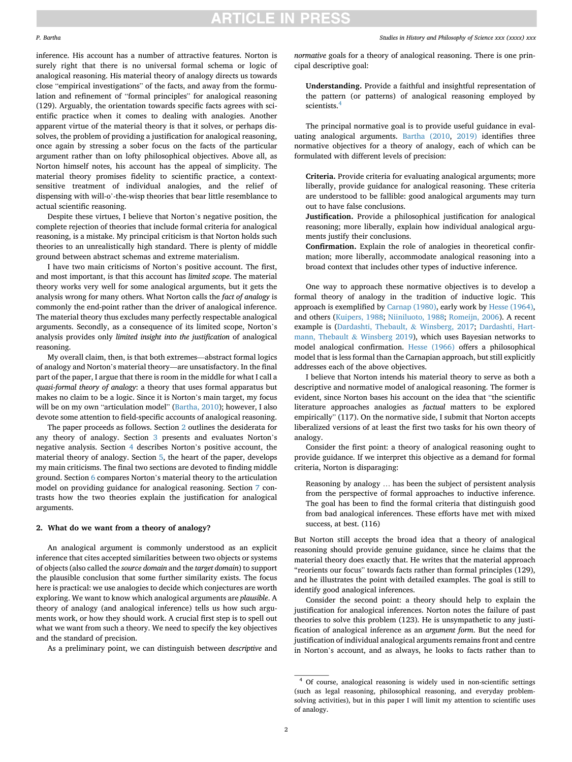#### <span id="page-1-0"></span>*P. Bartha*

inference. His account has a number of attractive features. Norton is surely right that there is no universal formal schema or logic of analogical reasoning. His material theory of analogy directs us towards close "empirical investigations" of the facts, and away from the formulation and refinement of "formal principles" for analogical reasoning (129). Arguably, the orientation towards specific facts agrees with scientific practice when it comes to dealing with analogies. Another apparent virtue of the material theory is that it solves, or perhaps dissolves, the problem of providing a justification for analogical reasoning, once again by stressing a sober focus on the facts of the particular argument rather than on lofty philosophical objectives. Above all, as Norton himself notes, his account has the appeal of simplicity. The material theory promises fidelity to scientific practice, a contextsensitive treatment of individual analogies, and the relief of dispensing with will-o'-the-wisp theories that bear little resemblance to actual scientific reasoning.

Despite these virtues, I believe that Norton's negative position, the complete rejection of theories that include formal criteria for analogical reasoning, is a mistake. My principal criticism is that Norton holds such theories to an unrealistically high standard. There is plenty of middle ground between abstract schemas and extreme materialism.

I have two main criticisms of Norton's positive account. The first, and most important, is that this account has *limited scope*. The material theory works very well for some analogical arguments, but it gets the analysis wrong for many others. What Norton calls the *fact of analogy* is commonly the end-point rather than the driver of analogical inference. The material theory thus excludes many perfectly respectable analogical arguments. Secondly, as a consequence of its limited scope, Norton's analysis provides only *limited insight into the justification* of analogical reasoning.

My overall claim, then, is that both extremes—abstract formal logics of analogy and Norton's material theory—are unsatisfactory. In the final part of the paper, I argue that there is room in the middle for what I call a *quasi-formal theory of analogy*: a theory that uses formal apparatus but makes no claim to be a logic. Since it is Norton's main target, my focus will be on my own "articulation model" [\(Bartha, 2010\)](#page-8-0); however, I also devote some attention to field-specific accounts of analogical reasoning.

The paper proceeds as follows. Section 2 outlines the desiderata for any theory of analogy. Section [3](#page-2-0) presents and evaluates Norton's negative analysis. Section [4](#page-3-0) describes Norton's positive account, the material theory of analogy. Section [5](#page-5-0), the heart of the paper, develops my main criticisms. The final two sections are devoted to finding middle ground. Section [6](#page-6-0) compares Norton's material theory to the articulation model on providing guidance for analogical reasoning. Section [7](#page-7-0) contrasts how the two theories explain the justification for analogical arguments.

### **2. What do we want from a theory of analogy?**

An analogical argument is commonly understood as an explicit inference that cites accepted similarities between two objects or systems of objects (also called the *source domain* and the *target domain*) to support the plausible conclusion that some further similarity exists. The focus here is practical: we use analogies to decide which conjectures are worth exploring. We want to know which analogical arguments are *plausible*. A theory of analogy (and analogical inference) tells us how such arguments work, or how they should work. A crucial first step is to spell out what we want from such a theory. We need to specify the key objectives and the standard of precision.

As a preliminary point, we can distinguish between *descriptive* and

*normative* goals for a theory of analogical reasoning. There is one principal descriptive goal:

� **Understanding.** Provide a faithful and insightful representation of the pattern (or patterns) of analogical reasoning employed by scientists.<sup>4</sup>

The principal normative goal is to provide useful guidance in evaluating analogical arguments. [Bartha \(2010,](#page-8-0) [2019\)](#page-8-0) identifies three normative objectives for a theory of analogy, each of which can be formulated with different levels of precision:

- � **Criteria.** Provide criteria for evaluating analogical arguments; more liberally, provide guidance for analogical reasoning. These criteria are understood to be fallible: good analogical arguments may turn out to have false conclusions.
- � **Justification.** Provide a philosophical justification for analogical reasoning; more liberally, explain how individual analogical arguments justify their conclusions.
- � **Confirmation.** Explain the role of analogies in theoretical confirmation; more liberally, accommodate analogical reasoning into a broad context that includes other types of inductive inference.

One way to approach these normative objectives is to develop a formal theory of analogy in the tradition of inductive logic. This approach is exemplified by [Carnap \(1980\),](#page-8-0) early work by [Hesse \(1964\)](#page-8-0), and others ([Kuipers, 1988](#page-9-0); [Niiniluoto, 1988;](#page-9-0) [Romeijn, 2006\)](#page-9-0). A recent example is (Dardashti, Thébault, & [Winsberg, 2017](#page-8-0); [Dardashti, Hart](#page-8-0)[mann, Thebault](#page-8-0) & Winsberg 2019), which uses Bayesian networks to model analogical confirmation. [Hesse \(1966\)](#page-8-0) offers a philosophical model that is less formal than the Carnapian approach, but still explicitly addresses each of the above objectives.

I believe that Norton intends his material theory to serve as both a descriptive and normative model of analogical reasoning. The former is evident, since Norton bases his account on the idea that "the scientific literature approaches analogies as *factual* matters to be explored empirically" (117). On the normative side, I submit that Norton accepts liberalized versions of at least the first two tasks for his own theory of analogy.

Consider the first point: a theory of analogical reasoning ought to provide guidance. If we interpret this objective as a demand for formal criteria, Norton is disparaging:

Reasoning by analogy … has been the subject of persistent analysis from the perspective of formal approaches to inductive inference. The goal has been to find the formal criteria that distinguish good from bad analogical inferences. These efforts have met with mixed success, at best. (116)

But Norton still accepts the broad idea that a theory of analogical reasoning should provide genuine guidance, since he claims that the material theory does exactly that. He writes that the material approach "reorients our focus" towards facts rather than formal principles (129), and he illustrates the point with detailed examples. The goal is still to identify good analogical inferences.

Consider the second point: a theory should help to explain the justification for analogical inferences. Norton notes the failure of past theories to solve this problem (123). He is unsympathetic to any justification of analogical inference as an *argument form*. But the need for justification of individual analogical arguments remains front and centre in Norton's account, and as always, he looks to facts rather than to

<sup>4</sup> Of course, analogical reasoning is widely used in non-scientific settings (such as legal reasoning, philosophical reasoning, and everyday problemsolving activities), but in this paper I will limit my attention to scientific uses of analogy.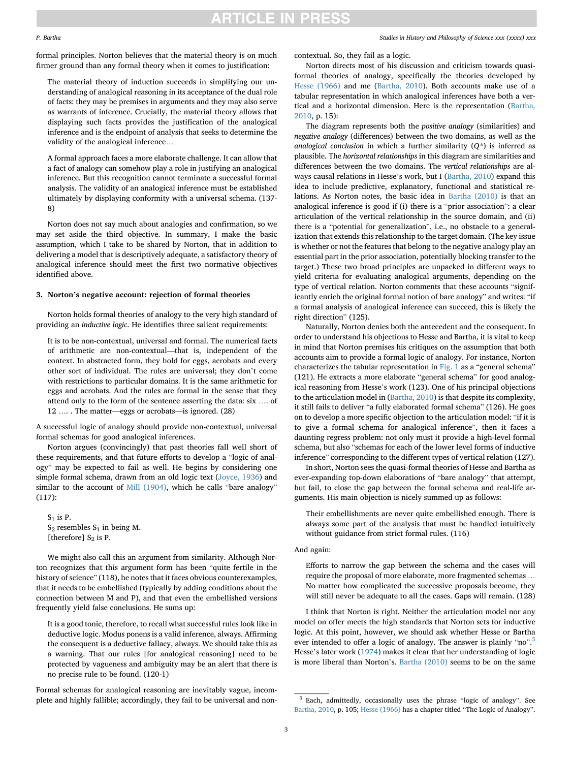#### <span id="page-2-0"></span>*P. Bartha*

formal principles. Norton believes that the material theory is on much firmer ground than any formal theory when it comes to justification:

The material theory of induction succeeds in simplifying our understanding of analogical reasoning in its acceptance of the dual role of facts: they may be premises in arguments and they may also serve as warrants of inference. Crucially, the material theory allows that displaying such facts provides the justification of the analogical inference and is the endpoint of analysis that seeks to determine the validity of the analogical inference…

A formal approach faces a more elaborate challenge. It can allow that a fact of analogy can somehow play a role in justifying an analogical inference. But this recognition cannot terminate a successful formal analysis. The validity of an analogical inference must be established ultimately by displaying conformity with a universal schema. (137- 8)

Norton does not say much about analogies and confirmation, so we may set aside the third objective. In summary, I make the basic assumption, which I take to be shared by Norton, that in addition to delivering a model that is descriptively adequate, a satisfactory theory of analogical inference should meet the first two normative objectives identified above.

#### **3. Norton's negative account: rejection of formal theories**

Norton holds formal theories of analogy to the very high standard of providing an *inductive logic*. He identifies three salient requirements:

It is to be non-contextual, universal and formal. The numerical facts of arithmetic are non-contextual—that is, independent of the context. In abstracted form, they hold for eggs, acrobats and every other sort of individual. The rules are universal; they don't come with restrictions to particular domains. It is the same arithmetic for eggs and acrobats. And the rules are formal in the sense that they attend only to the form of the sentence asserting the data: six …. of 12 …. . The matter—eggs or acrobats—is ignored. (28)

A successful logic of analogy should provide non-contextual, universal formal schemas for good analogical inferences.

Norton argues (convincingly) that past theories fall well short of these requirements, and that future efforts to develop a "logic of analogy" may be expected to fail as well. He begins by considering one simple formal schema, drawn from an old logic text [\(Joyce, 1936](#page-8-0)) and similar to the account of [Mill \(1904\)](#page-9-0), which he calls "bare analogy" (117):

 $S_1$  is P.  $S_2$  resembles  $S_1$  in being M. [therefore]  $S_2$  is P.

We might also call this an argument from similarity. Although Norton recognizes that this argument form has been "quite fertile in the history of science" (118), he notes that it faces obvious counterexamples, that it needs to be embellished (typically by adding conditions about the connection between M and P), and that even the embellished versions frequently yield false conclusions. He sums up:

It is a good tonic, therefore, to recall what successful rules look like in deductive logic. Modus ponens is a valid inference, always. Affirming the consequent is a deductive fallacy, always. We should take this as a warning. That our rules [for analogical reasoning] need to be protected by vagueness and ambiguity may be an alert that there is no precise rule to be found. (120-1)

Formal schemas for analogical reasoning are inevitably vague, incomplete and highly fallible; accordingly, they fail to be universal and noncontextual. So, they fail as a logic.

Norton directs most of his discussion and criticism towards quasiformal theories of analogy, specifically the theories developed by [Hesse \(1966\)](#page-8-0) and me ([Bartha, 2010](#page-8-0)). Both accounts make use of a tabular representation in which analogical inferences have both a vertical and a horizontal dimension. Here is the representation [\(Bartha,](#page-8-0)  [2010,](#page-8-0) p. 15):

The diagram represents both the *positive analogy* (similarities) and *negative analogy* (differences) between the two domains, as well as the *analogical conclusion* in which a further similarity (*Q\**) is inferred as plausible. The *horizontal relationships* in this diagram are similarities and differences between the two domains. The *vertical relationships* are always causal relations in Hesse's work, but I ([Bartha, 2010\)](#page-8-0) expand this idea to include predictive, explanatory, functional and statistical relations. As Norton notes, the basic idea in [Bartha \(2010\)](#page-8-0) is that an analogical inference is good if (i) there is a "prior association": a clear articulation of the vertical relationship in the source domain, and (ii) there is a "potential for generalization", i.e., no obstacle to a generalization that extends this relationship to the target domain. (The key issue is whether or not the features that belong to the negative analogy play an essential part in the prior association, potentially blocking transfer to the target.) These two broad principles are unpacked in different ways to yield criteria for evaluating analogical arguments, depending on the type of vertical relation. Norton comments that these accounts "significantly enrich the original formal notion of bare analogy" and writes: "if a formal analysis of analogical inference can succeed, this is likely the right direction" (125).

Naturally, Norton denies both the antecedent and the consequent. In order to understand his objections to Hesse and Bartha, it is vital to keep in mind that Norton premises his critiques on the assumption that both accounts aim to provide a formal logic of analogy. For instance, Norton characterizes the tabular representation in [Fig. 1](#page-3-0) as a "general schema" (121). He extracts a more elaborate "general schema" for good analogical reasoning from Hesse's work (123). One of his principal objections to the articulation model in [\(Bartha, 2010\)](#page-8-0) is that despite its complexity, it still fails to deliver "a fully elaborated formal schema" (126). He goes on to develop a more specific objection to the articulation model: "if it is to give a formal schema for analogical inference", then it faces a daunting regress problem: not only must it provide a high-level formal schema, but also "schemas for each of the lower level forms of inductive inference" corresponding to the different types of vertical relation (127).

In short, Norton sees the quasi-formal theories of Hesse and Bartha as ever-expanding top-down elaborations of "bare analogy" that attempt, but fail, to close the gap between the formal schema and real-life arguments. His main objection is nicely summed up as follows:

Their embellishments are never quite embellished enough. There is always some part of the analysis that must be handled intuitively without guidance from strict formal rules. (116)

#### And again:

Efforts to narrow the gap between the schema and the cases will require the proposal of more elaborate, more fragmented schemas … No matter how complicated the successive proposals become, they will still never be adequate to all the cases. Gaps will remain. (128)

I think that Norton is right. Neither the articulation model nor any model on offer meets the high standards that Norton sets for inductive logic. At this point, however, we should ask whether Hesse or Bartha ever intended to offer a logic of analogy. The answer is plainly "no".<sup>5</sup> Hesse's later work ([1974\)](#page-8-0) makes it clear that her understanding of logic is more liberal than Norton's. [Bartha \(2010\)](#page-8-0) seems to be on the same

<sup>5</sup> Each, admittedly, occasionally uses the phrase "logic of analogy". See [Bartha, 2010,](#page-8-0) p. 105; [Hesse \(1966\)](#page-8-0) has a chapter titled "The Logic of Analogy".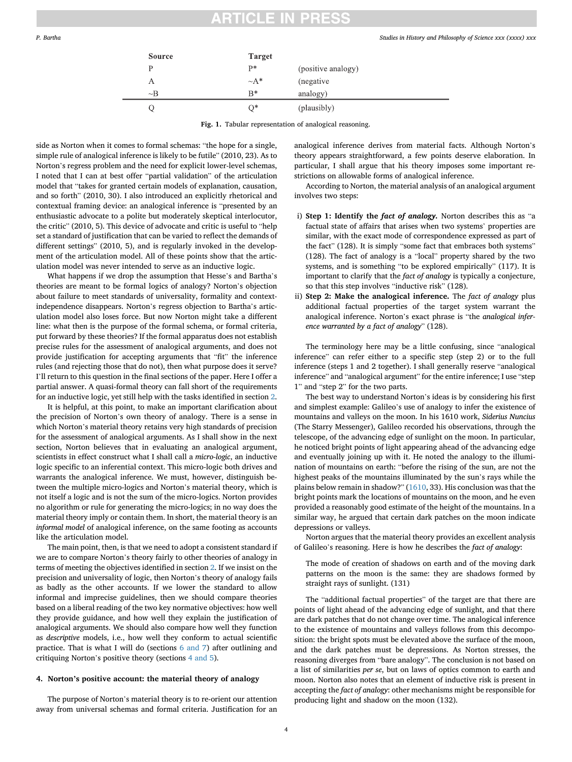<span id="page-3-0"></span>

| <b>Source</b> | <b>Target</b> |                    |
|---------------|---------------|--------------------|
| P             | $P*$          | (positive analogy) |
| А             | $\neg A^*$    | (negative)         |
| $\sim$ B      | $B^*$         | analogy)           |
| 0             | ∩*            | (plausibly)        |

**Fig. 1.** Tabular representation of analogical reasoning.

side as Norton when it comes to formal schemas: "the hope for a single, simple rule of analogical inference is likely to be futile" (2010, 23). As to Norton's regress problem and the need for explicit lower-level schemas, I noted that I can at best offer "partial validation" of the articulation model that "takes for granted certain models of explanation, causation, and so forth" (2010, 30). I also introduced an explicitly rhetorical and contextual framing device: an analogical inference is "presented by an enthusiastic advocate to a polite but moderately skeptical interlocutor, the critic" (2010, 5). This device of advocate and critic is useful to "help set a standard of justification that can be varied to reflect the demands of different settings" (2010, 5), and is regularly invoked in the development of the articulation model. All of these points show that the articulation model was never intended to serve as an inductive logic.

What happens if we drop the assumption that Hesse's and Bartha's theories are meant to be formal logics of analogy? Norton's objection about failure to meet standards of universality, formality and contextindependence disappears. Norton's regress objection to Bartha's articulation model also loses force. But now Norton might take a different line: what then is the purpose of the formal schema, or formal criteria, put forward by these theories? If the formal apparatus does not establish precise rules for the assessment of analogical arguments, and does not provide justification for accepting arguments that "fit" the inference rules (and rejecting those that do not), then what purpose does it serve? I'll return to this question in the final sections of the paper. Here I offer a partial answer. A quasi-formal theory can fall short of the requirements for an inductive logic, yet still help with the tasks identified in section [2](#page-1-0).

It is helpful, at this point, to make an important clarification about the precision of Norton's own theory of analogy. There is a sense in which Norton's material theory retains very high standards of precision for the assessment of analogical arguments. As I shall show in the next section, Norton believes that in evaluating an analogical argument, scientists in effect construct what I shall call a *micro-logic*, an inductive logic specific to an inferential context. This micro-logic both drives and warrants the analogical inference. We must, however, distinguish between the multiple micro-logics and Norton's material theory, which is not itself a logic and is not the sum of the micro-logics. Norton provides no algorithm or rule for generating the micro-logics; in no way does the material theory imply or contain them. In short, the material theory is an *informal model* of analogical inference, on the same footing as accounts like the articulation model.

The main point, then, is that we need to adopt a consistent standard if we are to compare Norton's theory fairly to other theories of analogy in terms of meeting the objectives identified in section [2.](#page-1-0) If we insist on the precision and universality of logic, then Norton's theory of analogy fails as badly as the other accounts. If we lower the standard to allow informal and imprecise guidelines, then we should compare theories based on a liberal reading of the two key normative objectives: how well they provide guidance, and how well they explain the justification of analogical arguments. We should also compare how well they function as *descriptive* models, i.e., how well they conform to actual scientific practice. That is what I will do (sections [6 and 7](#page-6-0)) after outlining and critiquing Norton's positive theory (sections 4 and 5).

### **4. Norton's positive account: the material theory of analogy**

The purpose of Norton's material theory is to re-orient our attention away from universal schemas and formal criteria. Justification for an analogical inference derives from material facts. Although Norton's theory appears straightforward, a few points deserve elaboration. In particular, I shall argue that his theory imposes some important restrictions on allowable forms of analogical inference.

According to Norton, the material analysis of an analogical argument involves two steps:

- i) **Step 1: Identify the** *fact of analogy.* Norton describes this as "a factual state of affairs that arises when two systems' properties are similar, with the exact mode of correspondence expressed as part of the fact" (128). It is simply "some fact that embraces both systems" (128). The fact of analogy is a "local" property shared by the two systems, and is something "to be explored empirically" (117). It is important to clarify that the *fact of analogy* is typically a conjecture, so that this step involves "inductive risk" (128).
- ii) **Step 2: Make the analogical inference.** The *fact of analogy* plus additional factual properties of the target system warrant the analogical inference. Norton's exact phrase is "the *analogical inference warranted by a fact of analogy*" (128).

The terminology here may be a little confusing, since "analogical inference" can refer either to a specific step (step 2) or to the full inference (steps 1 and 2 together). I shall generally reserve "analogical inference" and "analogical argument" for the entire inference; I use "step 1" and "step 2" for the two parts.

The best way to understand Norton's ideas is by considering his first and simplest example: Galileo's use of analogy to infer the existence of mountains and valleys on the moon. In his 1610 work, *Siderius Nuncius*  (The Starry Messenger), Galileo recorded his observations, through the telescope, of the advancing edge of sunlight on the moon. In particular, he noticed bright points of light appearing ahead of the advancing edge and eventually joining up with it. He noted the analogy to the illumination of mountains on earth: "before the rising of the sun, are not the highest peaks of the mountains illuminated by the sun's rays while the plains below remain in shadow?" ([1610,](#page-8-0) 33). His conclusion was that the bright points mark the locations of mountains on the moon, and he even provided a reasonably good estimate of the height of the mountains. In a similar way, he argued that certain dark patches on the moon indicate depressions or valleys.

Norton argues that the material theory provides an excellent analysis of Galileo's reasoning. Here is how he describes the *fact of analogy*:

The mode of creation of shadows on earth and of the moving dark patterns on the moon is the same: they are shadows formed by straight rays of sunlight. (131)

The "additional factual properties" of the target are that there are points of light ahead of the advancing edge of sunlight, and that there are dark patches that do not change over time. The analogical inference to the existence of mountains and valleys follows from this decomposition: the bright spots must be elevated above the surface of the moon, and the dark patches must be depressions. As Norton stresses, the reasoning diverges from "bare analogy". The conclusion is not based on a list of similarities *per se*, but on laws of optics common to earth and moon. Norton also notes that an element of inductive risk is present in accepting the *fact of analogy*: other mechanisms might be responsible for producing light and shadow on the moon (132).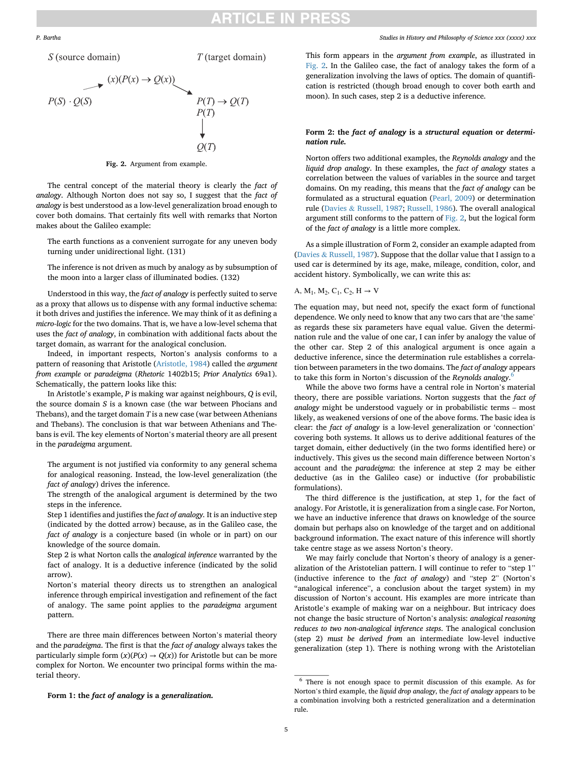$T$  (target domain)

<span id="page-4-0"></span> $S$  (source domain)



**Fig. 2.** Argument from example.

The central concept of the material theory is clearly the *fact of analogy*. Although Norton does not say so, I suggest that the *fact of analogy* is best understood as a low-level generalization broad enough to cover both domains. That certainly fits well with remarks that Norton makes about the Galileo example:

The earth functions as a convenient surrogate for any uneven body turning under unidirectional light. (131)

The inference is not driven as much by analogy as by subsumption of the moon into a larger class of illuminated bodies. (132)

Understood in this way, the *fact of analogy* is perfectly suited to serve as a proxy that allows us to dispense with any formal inductive schema: it both drives and justifies the inference. We may think of it as defining a *micro-logic* for the two domains. That is, we have a low-level schema that uses the *fact of analogy*, in combination with additional facts about the target domain, as warrant for the analogical conclusion.

Indeed, in important respects, Norton's analysis conforms to a pattern of reasoning that Aristotle ([Aristotle, 1984\)](#page-8-0) called the *argument from example* or *paradeigma* (*Rhetoric* 1402b15; *Prior Analytics* 69a1). Schematically, the pattern looks like this:

In Aristotle's example, *P* is making war against neighbours, *Q* is evil, the source domain *S* is a known case (the war between Phocians and Thebans), and the target domain *T* is a new case (war between Athenians and Thebans). The conclusion is that war between Athenians and Thebans is evil. The key elements of Norton's material theory are all present in the *paradeigma* argument.

- � The argument is not justified via conformity to any general schema for analogical reasoning. Instead, the low-level generalization (the *fact of analogy*) drives the inference.
- � The strength of the analogical argument is determined by the two steps in the inference.
- � Step 1 identifies and justifies the *fact of analogy.* It is an inductive step (indicated by the dotted arrow) because, as in the Galileo case, the *fact of analogy* is a conjecture based (in whole or in part) on our knowledge of the source domain.
- � Step 2 is what Norton calls the *analogical inference* warranted by the fact of analogy. It is a deductive inference (indicated by the solid arrow).
- � Norton's material theory directs us to strengthen an analogical inference through empirical investigation and refinement of the fact of analogy. The same point applies to the *paradeigma* argument pattern.

There are three main differences between Norton's material theory and the *paradeigma*. The first is that the *fact of analogy* always takes the particularly simple form  $(x)(P(x) \rightarrow Q(x))$  for Aristotle but can be more complex for Norton. We encounter two principal forms within the material theory.

� **Form 1: the** *fact of analogy* **is a** *generalization.* 

This form appears in the *argument from example*, as illustrated in Fig. 2. In the Galileo case, the fact of analogy takes the form of a generalization involving the laws of optics. The domain of quantification is restricted (though broad enough to cover both earth and moon). In such cases, step 2 is a deductive inference.

### � **Form 2: the** *fact of analogy* **is a** *structural equation* **or** *determination rule.*

Norton offers two additional examples, the *Reynolds analogy* and the *liquid drop analogy*. In these examples, the *fact of analogy* states a correlation between the values of variables in the source and target domains. On my reading, this means that the *fact of analogy* can be formulated as a structural equation ([Pearl, 2009\)](#page-9-0) or determination rule (Davies & [Russell, 1987;](#page-8-0) [Russell, 1986](#page-9-0)). The overall analogical argument still conforms to the pattern of Fig. 2, but the logical form of the *fact of analogy* is a little more complex.

As a simple illustration of Form 2, consider an example adapted from (Davies & [Russell, 1987\)](#page-8-0). Suppose that the dollar value that I assign to a used car is determined by its age, make, mileage, condition, color, and accident history. Symbolically, we can write this as:

### A,  $M_1$ ,  $M_2$ ,  $C_1$ ,  $C_2$ ,  $H \rightarrow V$

The equation may, but need not, specify the exact form of functional dependence. We only need to know that any two cars that are 'the same' as regards these six parameters have equal value. Given the determination rule and the value of one car, I can infer by analogy the value of the other car. Step 2 of this analogical argument is once again a deductive inference, since the determination rule establishes a correlation between parameters in the two domains. The *fact of analogy* appears to take this form in Norton's discussion of the *Reynolds analogy*. 6

While the above two forms have a central role in Norton's material theory, there are possible variations. Norton suggests that the *fact of analogy* might be understood vaguely or in probabilistic terms – most likely, as weakened versions of one of the above forms. The basic idea is clear: the *fact of analogy* is a low-level generalization or 'connection' covering both systems. It allows us to derive additional features of the target domain, either deductively (in the two forms identified here) or inductively. This gives us the second main difference between Norton's account and the *paradeigma*: the inference at step 2 may be either deductive (as in the Galileo case) or inductive (for probabilistic formulations).

The third difference is the justification, at step 1, for the fact of analogy. For Aristotle, it is generalization from a single case. For Norton, we have an inductive inference that draws on knowledge of the source domain but perhaps also on knowledge of the target and on additional background information. The exact nature of this inference will shortly take centre stage as we assess Norton's theory.

We may fairly conclude that Norton's theory of analogy is a generalization of the Aristotelian pattern. I will continue to refer to "step 1" (inductive inference to the *fact of analogy*) and "step 2" (Norton's "analogical inference", a conclusion about the target system) in my discussion of Norton's account. His examples are more intricate than Aristotle's example of making war on a neighbour. But intricacy does not change the basic structure of Norton's analysis: *analogical reasoning reduces to two non-analogical inference steps*. The analogical conclusion (step 2) *must be derived from* an intermediate low-level inductive generalization (step 1). There is nothing wrong with the Aristotelian

<sup>6</sup> There is not enough space to permit discussion of this example. As for Norton's third example, the *liquid drop analogy*, the *fact of analogy* appears to be a combination involving both a restricted generalization and a determination rule.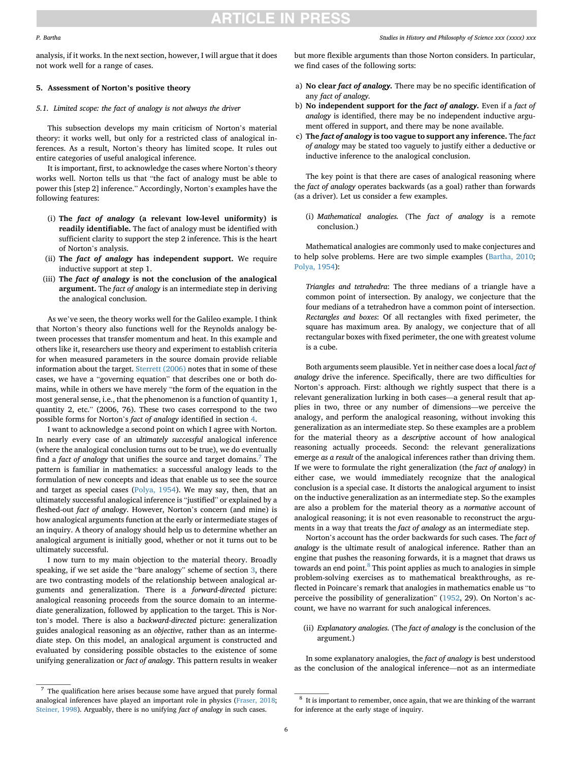#### <span id="page-5-0"></span>*P. Bartha*

analysis, if it works. In the next section, however, I will argue that it does not work well for a range of cases.

#### **5. Assessment of Norton's positive theory**

#### *5.1. Limited scope: the fact of analogy is not always the driver*

This subsection develops my main criticism of Norton's material theory: it works well, but only for a restricted class of analogical inferences. As a result, Norton's theory has limited scope. It rules out entire categories of useful analogical inference.

It is important, first, to acknowledge the cases where Norton's theory works well. Norton tells us that "the fact of analogy must be able to power this [step 2] inference." Accordingly, Norton's examples have the following features:

- (i) **The** *fact of analogy* **(a relevant low-level uniformity) is readily identifiable.** The fact of analogy must be identified with sufficient clarity to support the step 2 inference. This is the heart of Norton's analysis.
- (ii) **The** *fact of analogy* **has independent support.** We require inductive support at step 1.
- (iii) **The** *fact of analogy* **is not the conclusion of the analogical argument.** The *fact of analogy* is an intermediate step in deriving the analogical conclusion.

As we've seen, the theory works well for the Galileo example. I think that Norton's theory also functions well for the Reynolds analogy between processes that transfer momentum and heat. In this example and others like it, researchers use theory and experiment to establish criteria for when measured parameters in the source domain provide reliable information about the target. [Sterrett \(2006\)](#page-9-0) notes that in some of these cases, we have a "governing equation" that describes one or both domains, while in others we have merely "the form of the equation in the most general sense, i.e., that the phenomenon is a function of quantity 1, quantity 2, etc." (2006, 76). These two cases correspond to the two possible forms for Norton's *fact of analogy* identified in section [4.](#page-3-0)

I want to acknowledge a second point on which I agree with Norton. In nearly every case of an *ultimately successful* analogical inference (where the analogical conclusion turns out to be true), we do eventually find a *fact of analogy* that unifies the source and target domains.7 The pattern is familiar in mathematics: a successful analogy leads to the formulation of new concepts and ideas that enable us to see the source and target as special cases [\(Polya, 1954](#page-9-0)). We may say, then, that an ultimately successful analogical inference is "justified" or explained by a fleshed-out *fact of analogy*. However, Norton's concern (and mine) is how analogical arguments function at the early or intermediate stages of an inquiry. A theory of analogy should help us to determine whether an analogical argument is initially good, whether or not it turns out to be ultimately successful.

I now turn to my main objection to the material theory. Broadly speaking, if we set aside the "bare analogy" scheme of section [3,](#page-2-0) there are two contrasting models of the relationship between analogical arguments and generalization. There is a *forward-directed* picture: analogical reasoning proceeds from the source domain to an intermediate generalization, followed by application to the target. This is Norton's model. There is also a *backward-directed* picture: generalization guides analogical reasoning as an *objective*, rather than as an intermediate step. On this model, an analogical argument is constructed and evaluated by considering possible obstacles to the existence of some unifying generalization or *fact of analogy*. This pattern results in weaker *Studies in History and Philosophy of Science xxx (xxxx) xxx*

but more flexible arguments than those Norton considers. In particular, we find cases of the following sorts:

- a) **No clear** *fact of analogy.* There may be no specific identification of any *fact of analogy.*
- b) **No independent support for the** *fact of analogy.* Even if a *fact of analogy* is identified, there may be no independent inductive argument offered in support, and there may be none available.
- c) **The** *fact of analogy* **is too vague to support any inference.** The *fact of analogy* may be stated too vaguely to justify either a deductive or inductive inference to the analogical conclusion.

The key point is that there are cases of analogical reasoning where the *fact of analogy* operates backwards (as a goal) rather than forwards (as a driver). Let us consider a few examples.

(i) *Mathematical analogies.* (The *fact of analogy* is a remote conclusion.)

Mathematical analogies are commonly used to make conjectures and to help solve problems. Here are two simple examples ([Bartha, 2010](#page-8-0); [Polya, 1954\)](#page-9-0):

*Triangles and tetrahedra*: The three medians of a triangle have a common point of intersection. By analogy, we conjecture that the four medians of a tetrahedron have a common point of intersection. *Rectangles and boxes*: Of all rectangles with fixed perimeter, the square has maximum area. By analogy, we conjecture that of all rectangular boxes with fixed perimeter, the one with greatest volume is a cube.

Both arguments seem plausible. Yet in neither case does a local *fact of analogy* drive the inference. Specifically, there are two difficulties for Norton's approach. First: although we rightly suspect that there is a relevant generalization lurking in both cases—a general result that applies in two, three or any number of dimensions—we perceive the analogy, and perform the analogical reasoning, without invoking this generalization as an intermediate step. So these examples are a problem for the material theory as a *descriptive* account of how analogical reasoning actually proceeds. Second: the relevant generalizations emerge *as a result* of the analogical inferences rather than driving them. If we were to formulate the right generalization (the *fact of analogy*) in either case, we would immediately recognize that the analogical conclusion is a special case. It distorts the analogical argument to insist on the inductive generalization as an intermediate step. So the examples are also a problem for the material theory as a *normative* account of analogical reasoning; it is not even reasonable to reconstruct the arguments in a way that treats the *fact of analogy* as an intermediate step.

Norton's account has the order backwards for such cases. The *fact of analogy* is the ultimate result of analogical inference. Rather than an engine that pushes the reasoning forwards, it is a magnet that draws us towards an end point.<sup>8</sup> This point applies as much to analogies in simple problem-solving exercises as to mathematical breakthroughs, as reflected in Poincaré's remark that analogies in mathematics enable us "to perceive the possibility of generalization" [\(1952,](#page-9-0) 29). On Norton's account, we have no warrant for such analogical inferences.

(ii) *Explanatory analogies.* (The *fact of analogy* is the conclusion of the argument.)

In some explanatory analogies, the *fact of analogy* is best understood as the conclusion of the analogical inference—not as an intermediate

 $^7\,$  The qualification here arises because some have argued that purely formal analogical inferences have played an important role in physics [\(Fraser, 2018;](#page-8-0) [Steiner, 1998](#page-9-0)). Arguably, there is no unifying *fact of analogy* in such cases.

<sup>8</sup> It is important to remember, once again, that we are thinking of the warrant for inference at the early stage of inquiry.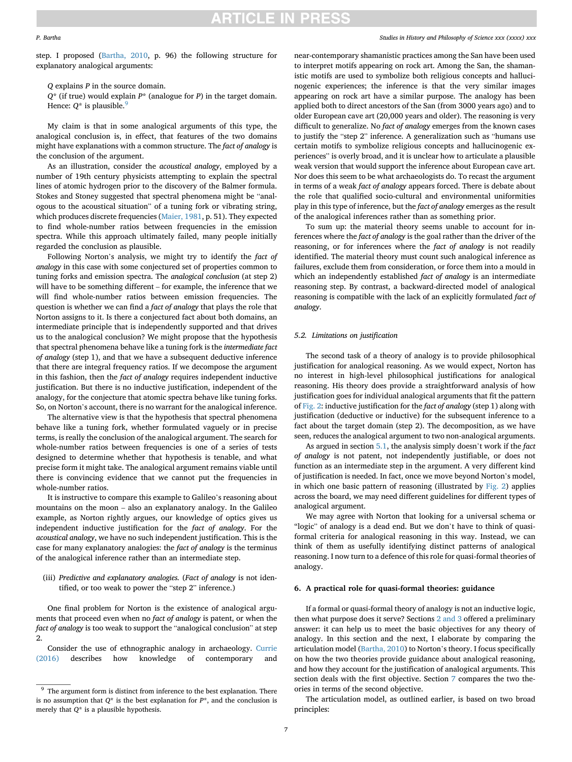#### <span id="page-6-0"></span>*P. Bartha*

step. I proposed ([Bartha, 2010,](#page-8-0) p. 96) the following structure for explanatory analogical arguments:

*Q* explains *P* in the source domain.

*Q*\* (if true) would explain *P*\* (analogue for *P*) in the target domain. Hence:  $Q^*$  is plausible.<sup>9</sup>

My claim is that in some analogical arguments of this type, the analogical conclusion is, in effect, that features of the two domains might have explanations with a common structure. The *fact of analogy* is the conclusion of the argument.

As an illustration, consider the *acoustical analogy*, employed by a number of 19th century physicists attempting to explain the spectral lines of atomic hydrogen prior to the discovery of the Balmer formula. Stokes and Stoney suggested that spectral phenomena might be "analogous to the acoustical situation" of a tuning fork or vibrating string, which produces discrete frequencies [\(Maier, 1981](#page-9-0), p. 51). They expected to find whole-number ratios between frequencies in the emission spectra. While this approach ultimately failed, many people initially regarded the conclusion as plausible.

Following Norton's analysis, we might try to identify the *fact of analogy* in this case with some conjectured set of properties common to tuning forks and emission spectra. The *analogical conclusion* (at step 2) will have to be something different – for example, the inference that we will find whole-number ratios between emission frequencies. The question is whether we can find a *fact of analogy* that plays the role that Norton assigns to it. Is there a conjectured fact about both domains, an intermediate principle that is independently supported and that drives us to the analogical conclusion? We might propose that the hypothesis that spectral phenomena behave like a tuning fork is the *intermediate fact of analogy* (step 1), and that we have a subsequent deductive inference that there are integral frequency ratios. If we decompose the argument in this fashion, then the *fact of analogy* requires independent inductive justification. But there is no inductive justification, independent of the analogy, for the conjecture that atomic spectra behave like tuning forks. So, on Norton's account, there is no warrant for the analogical inference.

The alternative view is that the hypothesis that spectral phenomena behave like a tuning fork, whether formulated vaguely or in precise terms, is really the conclusion of the analogical argument. The search for whole-number ratios between frequencies is one of a series of tests designed to determine whether that hypothesis is tenable, and what precise form it might take. The analogical argument remains viable until there is convincing evidence that we cannot put the frequencies in whole-number ratios.

It is instructive to compare this example to Galileo's reasoning about mountains on the moon – also an explanatory analogy. In the Galileo example, as Norton rightly argues, our knowledge of optics gives us independent inductive justification for the *fact of analogy*. For the *acoustical analogy*, we have no such independent justification. This is the case for many explanatory analogies: the *fact of analogy* is the terminus of the analogical inference rather than an intermediate step.

(iii) *Predictive and explanatory analogies.* (*Fact of analogy* is not identified, or too weak to power the "step 2" inference.)

One final problem for Norton is the existence of analogical arguments that proceed even when no *fact of analogy* is patent, or when the *fact of analogy* is too weak to support the "analogical conclusion" at step 2.

Consider the use of ethnographic analogy in archaeology. [Currie](#page-8-0)  [\(2016\)](#page-8-0) describes how knowledge of contemporary and

near-contemporary shamanistic practices among the San have been used to interpret motifs appearing on rock art. Among the San, the shamanistic motifs are used to symbolize both religious concepts and hallucinogenic experiences; the inference is that the very similar images appearing on rock art have a similar purpose. The analogy has been applied both to direct ancestors of the San (from 3000 years ago) and to older European cave art (20,000 years and older). The reasoning is very difficult to generalize. No *fact of analogy* emerges from the known cases to justify the "step 2" inference. A generalization such as "humans use certain motifs to symbolize religious concepts and hallucinogenic experiences" is overly broad, and it is unclear how to articulate a plausible weak version that would support the inference about European cave art. Nor does this seem to be what archaeologists do. To recast the argument in terms of a weak *fact of analogy* appears forced. There is debate about the role that qualified socio-cultural and environmental uniformities play in this type of inference, but the *fact of analogy* emerges as the result of the analogical inferences rather than as something prior.

To sum up: the material theory seems unable to account for inferences where the *fact of analogy* is the goal rather than the driver of the reasoning, or for inferences where the *fact of analogy* is not readily identified. The material theory must count such analogical inference as failures, exclude them from consideration, or force them into a mould in which an independently established *fact of analogy* is an intermediate reasoning step. By contrast, a backward-directed model of analogical reasoning is compatible with the lack of an explicitly formulated *fact of analogy*.

### *5.2. Limitations on justification*

The second task of a theory of analogy is to provide philosophical justification for analogical reasoning. As we would expect, Norton has no interest in high-level philosophical justifications for analogical reasoning. His theory does provide a straightforward analysis of how justification goes for individual analogical arguments that fit the pattern of [Fig. 2:](#page-4-0) inductive justification for the *fact of analogy* (step 1) along with justification (deductive or inductive) for the subsequent inference to a fact about the target domain (step 2). The decomposition, as we have seen, reduces the analogical argument to two non-analogical arguments.

As argued in section [5.1,](#page-5-0) the analysis simply doesn't work if the *fact of analogy* is not patent, not independently justifiable, or does not function as an intermediate step in the argument. A very different kind of justification is needed. In fact, once we move beyond Norton's model, in which one basic pattern of reasoning (illustrated by [Fig. 2\)](#page-4-0) applies across the board, we may need different guidelines for different types of analogical argument.

We may agree with Norton that looking for a universal schema or "logic" of analogy is a dead end. But we don't have to think of quasiformal criteria for analogical reasoning in this way. Instead, we can think of them as usefully identifying distinct patterns of analogical reasoning. I now turn to a defence of this role for quasi-formal theories of analogy.

### **6. A practical role for quasi-formal theories: guidance**

If a formal or quasi-formal theory of analogy is not an inductive logic, then what purpose does it serve? Sections [2 and 3](#page-1-0) offered a preliminary answer: it can help us to meet the basic objectives for any theory of analogy. In this section and the next, I elaborate by comparing the articulation model ([Bartha, 2010](#page-8-0)) to Norton's theory. I focus specifically on how the two theories provide guidance about analogical reasoning, and how they account for the justification of analogical arguments. This section deals with the first objective. Section [7](#page-7-0) compares the two theories in terms of the second objective.

The articulation model, as outlined earlier, is based on two broad principles:

#### *Studies in History and Philosophy of Science xxx (xxxx) xxx*

 $9$  The argument form is distinct from inference to the best explanation. There is no assumption that  $Q^*$  is the best explanation for  $P^*$ , and the conclusion is merely that *Q*\* is a plausible hypothesis.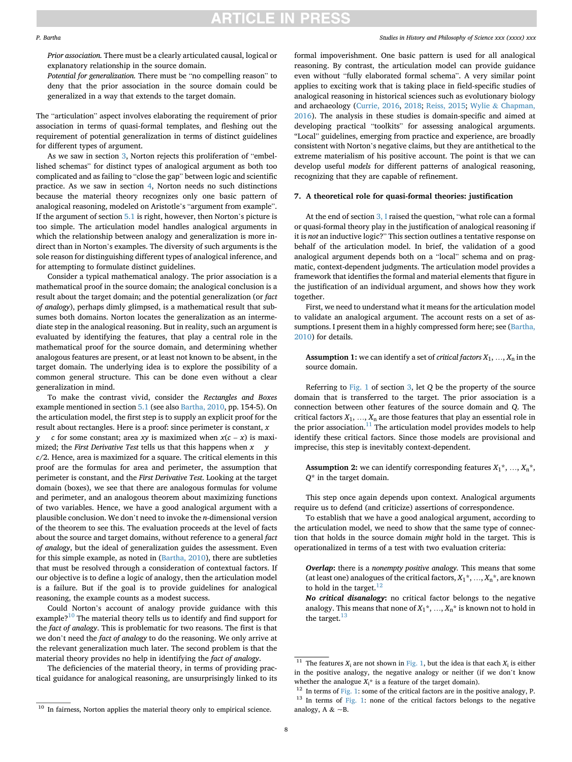#### <span id="page-7-0"></span>*P. Bartha*

- � *Prior association.* There must be a clearly articulated causal, logical or explanatory relationship in the source domain.
- � *Potential for generalization.* There must be "no compelling reason" to deny that the prior association in the source domain could be generalized in a way that extends to the target domain.

The "articulation" aspect involves elaborating the requirement of prior association in terms of quasi-formal templates, and fleshing out the requirement of potential generalization in terms of distinct guidelines for different types of argument.

As we saw in section [3](#page-2-0), Norton rejects this proliferation of "embellished schemas" for distinct types of analogical argument as both too complicated and as failing to "close the gap" between logic and scientific practice. As we saw in section [4](#page-3-0), Norton needs no such distinctions because the material theory recognizes only one basic pattern of analogical reasoning, modeled on Aristotle's "argument from example". If the argument of section [5.1](#page-5-0) is right, however, then Norton's picture is too simple. The articulation model handles analogical arguments in which the relationship between analogy and generalization is more indirect than in Norton's examples. The diversity of such arguments is the sole reason for distinguishing different types of analogical inference, and for attempting to formulate distinct guidelines.

Consider a typical mathematical analogy. The prior association is a mathematical proof in the source domain; the analogical conclusion is a result about the target domain; and the potential generalization (or *fact of analogy*), perhaps dimly glimpsed, is a mathematical result that subsumes both domains. Norton locates the generalization as an intermediate step in the analogical reasoning. But in reality, such an argument is evaluated by identifying the features, that play a central role in the mathematical proof for the source domain, and determining whether analogous features are present, or at least not known to be absent, in the target domain. The underlying idea is to explore the possibility of a common general structure. This can be done even without a clear generalization in mind.

To make the contrast vivid, consider the *Rectangles and Boxes*  example mentioned in section [5.1](#page-5-0) (see also [Bartha, 2010,](#page-8-0) pp. 154-5). On the articulation model, the first step is to supply an explicit proof for the result about rectangles. Here is a proof: since perimeter is constant,  $x +$ *y* = *c* for some constant; area *xy* is maximized when  $x(c - x)$  is maximized; the *First Derivative Test* tells us that this happens when  $x = y =$ *c*/2. Hence, area is maximized for a square. The critical elements in this proof are the formulas for area and perimeter, the assumption that perimeter is constant, and the *First Derivative Test*. Looking at the target domain (boxes), we see that there are analogous formulas for volume and perimeter, and an analogous theorem about maximizing functions of two variables. Hence, we have a good analogical argument with a plausible conclusion. We don't need to invoke the *n*-dimensional version of the theorem to see this. The evaluation proceeds at the level of facts about the source and target domains, without reference to a general *fact of analogy*, but the ideal of generalization guides the assessment. Even for this simple example, as noted in [\(Bartha, 2010](#page-8-0)), there are subtleties that must be resolved through a consideration of contextual factors. If our objective is to define a logic of analogy, then the articulation model is a failure. But if the goal is to provide guidelines for analogical reasoning, the example counts as a modest success.

Could Norton's account of analogy provide guidance with this example?<sup>10</sup> The material theory tells us to identify and find support for the *fact of analogy*. This is problematic for two reasons. The first is that we don't need the *fact of analogy* to do the reasoning. We only arrive at the relevant generalization much later. The second problem is that the material theory provides no help in identifying the *fact of analogy*.

The deficiencies of the material theory, in terms of providing practical guidance for analogical reasoning, are unsurprisingly linked to its formal impoverishment. One basic pattern is used for all analogical reasoning. By contrast, the articulation model can provide guidance even without "fully elaborated formal schema". A very similar point applies to exciting work that is taking place in field-specific studies of analogical reasoning in historical sciences such as evolutionary biology and archaeology [\(Currie, 2016](#page-8-0), [2018](#page-8-0); [Reiss, 2015;](#page-9-0) Wylie & [Chapman,](#page-9-0)  [2016\)](#page-9-0). The analysis in these studies is domain-specific and aimed at developing practical "toolkits" for assessing analogical arguments. "Local" guidelines, emerging from practice and experience, are broadly consistent with Norton's negative claims, but they are antithetical to the extreme materialism of his positive account. The point is that we can develop useful *models* for different patterns of analogical reasoning, recognizing that they are capable of refinement.

*Studies in History and Philosophy of Science xxx (xxxx) xxx*

#### **7. A theoretical role for quasi-formal theories: justification**

At the end of section [3, I](#page-2-0) raised the question, "what role can a formal or quasi-formal theory play in the justification of analogical reasoning if it is *not* an inductive logic?" This section outlines a tentative response on behalf of the articulation model. In brief, the validation of a good analogical argument depends both on a "local" schema and on pragmatic, context-dependent judgments. The articulation model provides a framework that identifies the formal and material elements that figure in the justification of an individual argument, and shows how they work together.

First, we need to understand what it means for the articulation model to validate an analogical argument. The account rests on a set of assumptions. I present them in a highly compressed form here; see [\(Bartha,](#page-8-0)  [2010\)](#page-8-0) for details.

• **Assumption 1:** we can identify a set of *critical factors*  $X_1, \ldots, X_n$  in the source domain.

Referring to [Fig. 1](#page-3-0) of section [3](#page-2-0), let *Q* be the property of the source domain that is transferred to the target. The prior association is a connection between other features of the source domain and *Q*. The critical factors  $X_1$ , ...,  $X_n$  are those features that play an essential role in the prior association. $11$  The articulation model provides models to help identify these critical factors. Since those models are provisional and imprecise, this step is inevitably context-dependent.

• **Assumption 2:** we can identify corresponding features  $X_1^*, \ldots, X_n^*$ *Q*\* in the target domain.

This step once again depends upon context. Analogical arguments require us to defend (and criticize) assertions of correspondence.

To establish that we have a good analogical argument, according to the articulation model, we need to show that the same type of connection that holds in the source domain *might* hold in the target. This is operationalized in terms of a test with two evaluation criteria:

- � *Overlap***:** there is a *nonempty positive analogy.* This means that some (at least one) analogues of the critical factors,  $X_1^*, ..., X_n^*$ , are known to hold in the target. $12$
- � *No critical disanalogy***:** no critical factor belongs to the negative analogy. This means that none of  $X_1^*, \ldots, X_n^*$  is known not to hold in the target. $13$

<sup>&</sup>lt;sup>11</sup> The features  $X_i$  are not shown in [Fig. 1](#page-3-0), but the idea is that each  $X_i$  is either in the positive analogy, the negative analogy or neither (if we don't know

whether the analogue  $X_i^*$  is a feature of the target domain).<br><sup>12</sup> In terms of [Fig. 1:](#page-3-0) some of the critical factors are in the positive analogy, P.<br><sup>13</sup> In terms of [Fig. 1:](#page-3-0) none of the critical factors belongs to the ne analogy, A  $\& \sim$ B.

<sup>&</sup>lt;sup>10</sup> In fairness, Norton applies the material theory only to empirical science.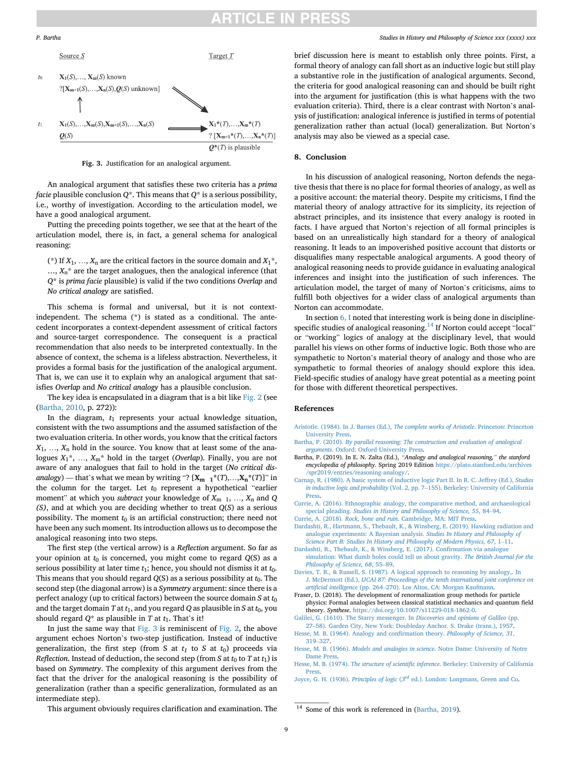<span id="page-8-0"></span>

**Fig. 3.** Justification for an analogical argument.

An analogical argument that satisfies these two criteria has a *prima facie* plausible conclusion  $Q^*$ . This means that  $Q^*$  is a serious possibility, i.e., worthy of investigation. According to the articulation model, we have a good analogical argument.

Putting the preceding points together, we see that at the heart of the articulation model, there is, in fact, a general schema for analogical reasoning:

(\*) If  $X_1, \ldots, X_n$  are the critical factors in the source domain and  $X_1^*$ , …, *X*n\* are the target analogues, then the analogical inference (that *Q*\* is *prima facie* plausible) is valid if the two conditions *Overlap* and *No critical analogy* are satisfied.

This schema is formal and universal, but it is not contextindependent. The schema (\*) is stated as a conditional. The antecedent incorporates a context-dependent assessment of critical factors and source-target correspondence. The consequent is a practical recommendation that also needs to be interpreted contextually. In the absence of context, the schema is a lifeless abstraction. Nevertheless, it provides a formal basis for the justification of the analogical argument. That is, we can use it to explain why an analogical argument that satisfies *Overlap* and *No critical analogy* has a plausible conclusion.

The key idea is encapsulated in a diagram that is a bit like [Fig. 2](#page-4-0) (see (Bartha, 2010, p. 272)):

In the diagram,  $t_1$  represents your actual knowledge situation, consistent with the two assumptions and the assumed satisfaction of the two evaluation criteria. In other words, you know that the critical factors *X*1, …, *X*n hold in the source. You know that at least some of the analogues *X*1\*, …, *X*m\* hold in the target (*Overlap*). Finally, you are not aware of any analogues that fail to hold in the target (*No critical disanalogy*) — that's what we mean by writing "?  $[X_{m+1}*(T),...,X_n*(T)]$ " in the column for the target. Let  $t_0$  represent a hypothetical "earlier" moment" at which you *subtract* your knowledge of  $X_{m+1}$ , ...,  $X_n$  and *Q (S)*, and at which you are deciding whether to treat *Q*(*S*) as a serious possibility. The moment  $t_0$  is an artificial construction; there need not have been any such moment. Its introduction allows us to decompose the analogical reasoning into two steps.

The first step (the vertical arrow) is a *Reflection* argument. So far as your opinion at  $t_0$  is concerned, you might come to regard  $Q(S)$  as a serious possibility at later time *t*1; hence, you should not dismiss it at *t*0. This means that you should regard  $Q(S)$  as a serious possibility at  $t_0$ . The second step (the diagonal arrow) is a *Symmetry* argument: since there is a perfect analogy (up to critical factors) between the source domain *S* at  $t_0$ and the target domain *T* at  $t_1$ , and you regard *Q* as plausible in *S* at  $t_0$ , you should regard  $Q^*$  as plausible in *T* at  $t_1$ . That's it!

In just the same way that Fig. 3 is reminiscent of [Fig. 2,](#page-4-0) the above argument echoes Norton's two-step justification. Instead of inductive generalization, the first step (from S at  $t_1$  to S at  $t_0$ ) proceeds via *Reflection*. Instead of deduction, the second step (from  $S$  at  $t_0$  to  $T$  at  $t_1$ ) is based on *Symmetry*. The complexity of this argument derives from the fact that the driver for the analogical reasoning is the possibility of generalization (rather than a specific generalization, formulated as an intermediate step).

brief discussion here is meant to establish only three points. First, a formal theory of analogy can fall short as an inductive logic but still play a substantive role in the justification of analogical arguments. Second, the criteria for good analogical reasoning can and should be built right into the argument for justification (this is what happens with the two evaluation criteria). Third, there is a clear contrast with Norton's analysis of justification: analogical inference is justified in terms of potential generalization rather than actual (local) generalization. But Norton's analysis may also be viewed as a special case.

### **8. Conclusion**

In his discussion of analogical reasoning, Norton defends the negative thesis that there is no place for formal theories of analogy, as well as a positive account: the material theory. Despite my criticisms, I find the material theory of analogy attractive for its simplicity, its rejection of abstract principles, and its insistence that every analogy is rooted in facts. I have argued that Norton's rejection of all formal principles is based on an unrealistically high standard for a theory of analogical reasoning. It leads to an impoverished positive account that distorts or disqualifies many respectable analogical arguments. A good theory of analogical reasoning needs to provide guidance in evaluating analogical inferences and insight into the justification of such inferences. The articulation model, the target of many of Norton's criticisms, aims to fulfill both objectives for a wider class of analogical arguments than Norton can accommodate.

In section [6, I](#page-6-0) noted that interesting work is being done in disciplinespecific studies of analogical reasoning.<sup>14</sup> If Norton could accept "local" or "working" logics of analogy at the disciplinary level, that would parallel his views on other forms of inductive logic. Both those who are sympathetic to Norton's material theory of analogy and those who are sympathetic to formal theories of analogy should explore this idea. Field-specific studies of analogy have great potential as a meeting point for those with different theoretical perspectives.

### **References**

- [Aristotle. \(1984\). In J. Barnes \(Ed.\),](http://refhub.elsevier.com/S0039-3681(19)30134-7/sref1) *The complete works of Aristotle*. Princeton: Princeton [University Press](http://refhub.elsevier.com/S0039-3681(19)30134-7/sref1).
- Bartha, P. (2010). *[By parallel reasoning: The construction and evaluation of analogical](http://refhub.elsevier.com/S0039-3681(19)30134-7/sref2) arguments*[. Oxford: Oxford University Press](http://refhub.elsevier.com/S0039-3681(19)30134-7/sref2).
- Bartha, P. (2019). In E. N. Zalta (Ed.), *"Analogy and analogical reasoning," the stanford encyclopedia of philosophy*. Spring 2019 Edition [https://plato.stanford.edu/archives](https://plato.stanford.edu/archives/spr2019/entries/reasoning-analogy/)  [/spr2019/entries/reasoning-analogy/.](https://plato.stanford.edu/archives/spr2019/entries/reasoning-analogy/)
- [Carnap, R. \(1980\). A basic system of inductive logic Part II. In R. C. Jeffrey \(Ed.\),](http://refhub.elsevier.com/S0039-3681(19)30134-7/sref4) *Studies in inductive logic and probability* (Vol. 2, pp. 7–[155\). Berkeley: University of California](http://refhub.elsevier.com/S0039-3681(19)30134-7/sref4)  [Press.](http://refhub.elsevier.com/S0039-3681(19)30134-7/sref4)
- [Currie, A. \(2016\). Ethnographic analogy, the comparative method, and archaeological](http://refhub.elsevier.com/S0039-3681(19)30134-7/sref5)  special pleading. *[Studies in History and Philosophy of Science, 55](http://refhub.elsevier.com/S0039-3681(19)30134-7/sref5)*, 84–94.
- Currie, A. (2018). *Rock, bone and ruin*[. Cambridge, MA: MIT Press.](http://refhub.elsevier.com/S0039-3681(19)30134-7/sref6) Dardashti, R., Hartmann, S., Thébault, K., & Winsberg, E. (2019). Hawking radiation and [analogue experiments: A Bayesian analysis.](http://refhub.elsevier.com/S0039-3681(19)30134-7/sref7) *Studies In History and Philosophy of*
- *[Science Part B: Studies In History and Philosophy of Modern Physics, 67](http://refhub.elsevier.com/S0039-3681(19)30134-7/sref7)*, 1–11. Dardashti, R., Thébault, K., & Winsberg, E. (2017). Confirmation via analogue
- [simulation: What dumb holes could tell us about gravity.](http://refhub.elsevier.com/S0039-3681(19)30134-7/sref8) *The British Journal for the [Philosophy of Science, 68](http://refhub.elsevier.com/S0039-3681(19)30134-7/sref8)*, 55–89.
- Davies, T. R., & Russell, S. (1987). A logical approach to reasoning by analogy,. In J. McDermott (Ed.), *[IJCAI 87: Proceedings of the tenth international joint conference on](http://refhub.elsevier.com/S0039-3681(19)30134-7/sref9)  artificial intelligence* (pp. 264–[270\). Los Altos, CA: Morgan Kaufmann.](http://refhub.elsevier.com/S0039-3681(19)30134-7/sref9)
- Fraser, D. (2018). The development of renormalization group methods for particle physics: Formal analogies between classical statistical mechanics and quantum field theory. *Synthese*. [https://doi.org/10.1007/s11229-018-1862-0.](https://doi.org/10.1007/s11229-018-1862-0)
- [Galilei, G. \(1610\). The Starry messenger. In](http://refhub.elsevier.com/S0039-3681(19)30134-7/sref11) *Discoveries and opinions of Galileo* (pp. 27–[58\). Garden City, New York: Doubleday Anchor. S. Drake \(trans.\), 1957](http://refhub.elsevier.com/S0039-3681(19)30134-7/sref11). [Hesse, M. B. \(1964\). Analogy and confirmation theory.](http://refhub.elsevier.com/S0039-3681(19)30134-7/sref12) *Philosophy of Science, 31*, 319–[327](http://refhub.elsevier.com/S0039-3681(19)30134-7/sref12).
- Hesse, M. B. (1966). *Models and analogies in science*[. Notre Dame: University of Notre](http://refhub.elsevier.com/S0039-3681(19)30134-7/sref13) [Dame Press](http://refhub.elsevier.com/S0039-3681(19)30134-7/sref13).
- Hesse, M. B. (1974). *The structure of scientific inference*[. Berkeley: University of California](http://refhub.elsevier.com/S0039-3681(19)30134-7/sref14)  [Press.](http://refhub.elsevier.com/S0039-3681(19)30134-7/sref14)

This argument obviously requires clarification and examination. The

Joyce, G. H. (1936). *Principles of logic* (*3rd* [ed.\). London: Longmans, Green and Co.](http://refhub.elsevier.com/S0039-3681(19)30134-7/sref15)

 $14$  Some of this work is referenced in (Bartha, 2019).